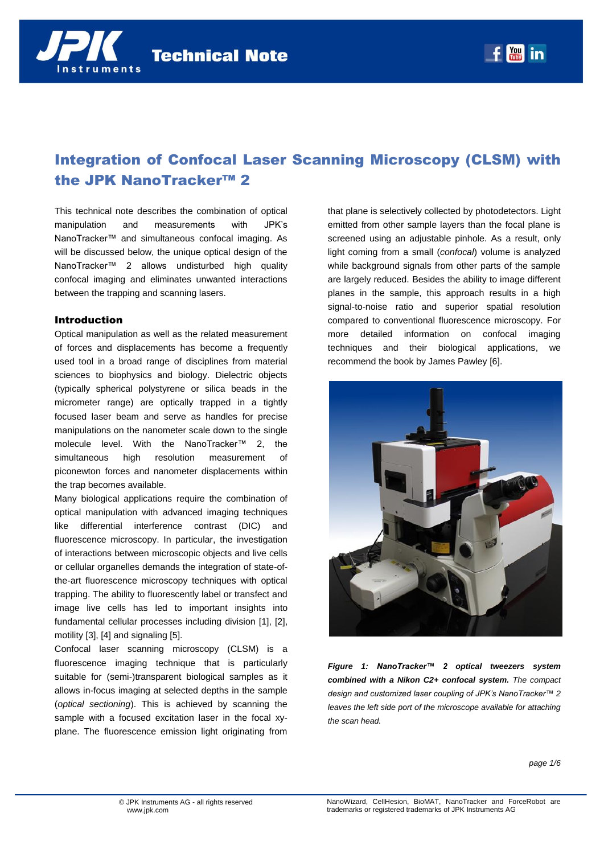



# Integration of Confocal Laser Scanning Microscopy (CLSM) with the JPK NanoTracker™ 2

This technical note describes the combination of optical manipulation and measurements with JPK's NanoTracker™ and simultaneous confocal imaging. As will be discussed below, the unique optical design of the NanoTracker™ 2 allows undisturbed high quality confocal imaging and eliminates unwanted interactions between the trapping and scanning lasers.

## Introduction

Optical manipulation as well as the related measurement of forces and displacements has become a frequently used tool in a broad range of disciplines from material sciences to biophysics and biology. Dielectric objects (typically spherical polystyrene or silica beads in the micrometer range) are optically trapped in a tightly focused laser beam and serve as handles for precise manipulations on the nanometer scale down to the single molecule level. With the NanoTracker™ 2, the simultaneous high resolution measurement of piconewton forces and nanometer displacements within the trap becomes available.

Many biological applications require the combination of optical manipulation with advanced imaging techniques like differential interference contrast (DIC) and fluorescence microscopy. In particular, the investigation of interactions between microscopic objects and live cells or cellular organelles demands the integration of state-ofthe-art fluorescence microscopy techniques with optical trapping. The ability to fluorescently label or transfect and image live cells has led to important insights into fundamental cellular processes including division [1], [2], motility [3], [4] and signaling [5].

Confocal laser scanning microscopy (CLSM) is a fluorescence imaging technique that is particularly suitable for (semi-)transparent biological samples as it allows in-focus imaging at selected depths in the sample (*optical sectioning*). This is achieved by scanning the sample with a focused excitation laser in the focal xyplane. The fluorescence emission light originating from

that plane is selectively collected by photodetectors. Light emitted from other sample layers than the focal plane is screened using an adjustable pinhole. As a result, only light coming from a small (*confocal*) volume is analyzed while background signals from other parts of the sample are largely reduced. Besides the ability to image different planes in the sample, this approach results in a high signal-to-noise ratio and superior spatial resolution compared to conventional fluorescence microscopy. For more detailed information on confocal imaging techniques and their biological applications, we recommend the book by James Pawley [6].



*Figure 1: NanoTracker™ 2 optical tweezers system combined with a Nikon C2+ confocal system. The compact design and customized laser coupling of JPK's NanoTracker™ 2 leaves the left side port of the microscope available for attaching the scan head.*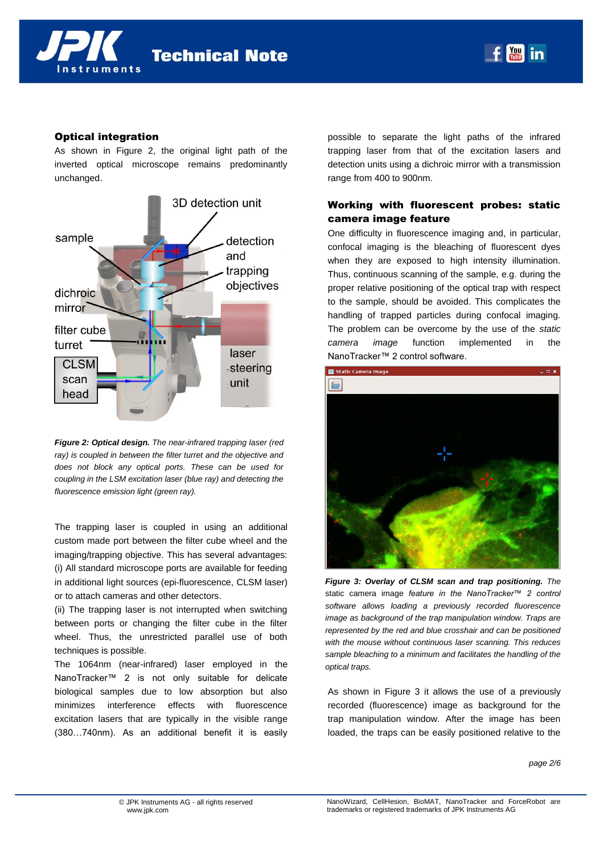**Technical Note** 



## Optical integration

As shown in [Figure 2,](#page-1-0) the original light path of the inverted optical microscope remains predominantly unchanged.



<span id="page-1-0"></span>*Figure 2: Optical design. The near-infrared trapping laser (red ray) is coupled in between the filter turret and the objective and does not block any optical ports. These can be used for coupling in the LSM excitation laser (blue ray) and detecting the fluorescence emission light (green ray).* 

The trapping laser is coupled in using an additional custom made port between the filter cube wheel and the imaging/trapping objective. This has several advantages: (i) All standard microscope ports are available for feeding in additional light sources (epi-fluorescence, CLSM laser) or to attach cameras and other detectors.

(ii) The trapping laser is not interrupted when switching between ports or changing the filter cube in the filter wheel. Thus, the unrestricted parallel use of both techniques is possible.

The 1064nm (near-infrared) laser employed in the NanoTracker™ 2 is not only suitable for delicate biological samples due to low absorption but also minimizes interference effects with fluorescence excitation lasers that are typically in the visible range (380…740nm). As an additional benefit it is easily possible to separate the light paths of the infrared trapping laser from that of the excitation lasers and detection units using a dichroic mirror with a transmission range from 400 to 900nm.

**You in** 

## Working with fluorescent probes: static camera image feature

One difficulty in fluorescence imaging and, in particular, confocal imaging is the bleaching of fluorescent dyes when they are exposed to high intensity illumination. Thus, continuous scanning of the sample, e.g. during the proper relative positioning of the optical trap with respect to the sample, should be avoided. This complicates the handling of trapped particles during confocal imaging. The problem can be overcome by the use of the *static camera image* function implemented in the NanoTracker™ 2 control software.



<span id="page-1-1"></span>*Figure 3: Overlay of CLSM scan and trap positioning. The*  static camera image *feature in the NanoTracker™ 2 control software allows loading a previously recorded fluorescence image as background of the trap manipulation window. Traps are represented by the red and blue crosshair and can be positioned with the mouse without continuous laser scanning. This reduces sample bleaching to a minimum and facilitates the handling of the optical traps.*

As shown in [Figure 3](#page-1-1) it allows the use of a previously recorded (fluorescence) image as background for the trap manipulation window. After the image has been loaded, the traps can be easily positioned relative to the

*page 2/6*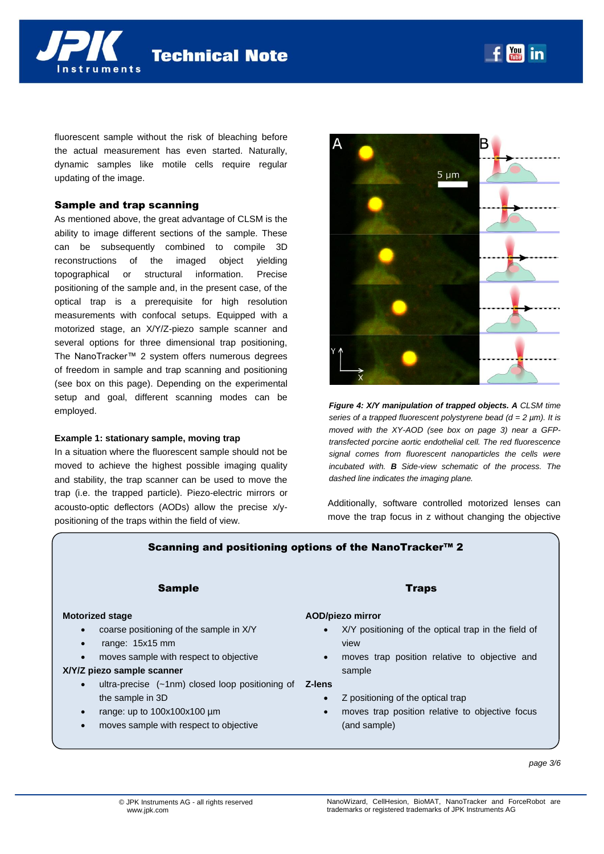fluorescent sample without the risk of bleaching before the actual measurement has even started. Naturally, dynamic samples like motile cells require regular updating of the image.

**Technical Note** 

### Sample and trap scanning

As mentioned above, the great advantage of CLSM is the ability to image different sections of the sample. These can be subsequently combined to compile 3D reconstructions of the imaged object yielding topographical or structural information. Precise positioning of the sample and, in the present case, of the optical trap is a prerequisite for high resolution measurements with confocal setups. Equipped with a motorized stage, an X/Y/Z-piezo sample scanner and several options for three dimensional trap positioning, The NanoTracker™ 2 system offers numerous degrees of freedom in sample and trap scanning and positioning (see box on this page). Depending on the experimental setup and goal, different scanning modes can be employed.

#### **Example 1: stationary sample, moving trap**

In a situation where the fluorescent sample should not be moved to achieve the highest possible imaging quality and stability, the trap scanner can be used to move the trap (i.e. the trapped particle). Piezo-electric mirrors or acousto-optic deflectors (AODs) allow the precise x/ypositioning of the traps within the field of view.



<span id="page-2-0"></span>Additionally, software controlled motorized lenses can move the trap focus in z without changing the objective

## Scanning and positioning options of the NanoTracker<sup>™</sup> 2

## Sample

## **Motorized stage**

- coarse positioning of the sample in X/Y
- range: 15x15 mm
- moves sample with respect to objective

## **X/Y/Z piezo sample scanner**

- ultra-precise (~1nm) closed loop positioning of **Z-lens** the sample in 3D
- range: up to 100x100x100 µm
- moves sample with respect to objective

#### Traps

## **AOD/piezo mirror**

- X/Y positioning of the optical trap in the field of view
- moves trap position relative to objective and sample

- Z positioning of the optical trap
- moves trap position relative to objective focus (and sample)



5 um

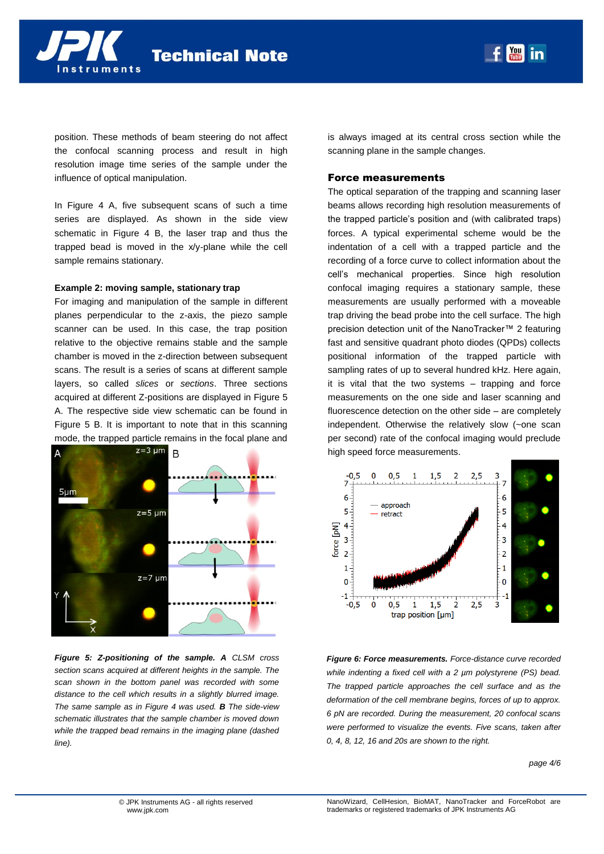position. These methods of beam steering do not affect the confocal scanning process and result in high resolution image time series of the sample under the influence of optical manipulation.

In [Figure 4](#page-2-0) A, five subsequent scans of such a time series are displayed. As shown in the side view schematic in [Figure 4](#page-2-0) B, the laser trap and thus the trapped bead is moved in the x/y-plane while the cell sample remains stationary.

#### **Example 2: moving sample, stationary trap**

For imaging and manipulation of the sample in different planes perpendicular to the z-axis, the piezo sample scanner can be used. In this case, the trap position relative to the objective remains stable and the sample chamber is moved in the z-direction between subsequent scans. The result is a series of scans at different sample layers, so called *slices* or *sections*. Three sections acquired at different Z-positions are displayed in [Figure 5](#page-3-0) A. The respective side view schematic can be found in [Figure 5](#page-3-0) B. It is important to note that in this scanning mode, the trapped particle remains in the focal plane and



<span id="page-3-0"></span>*Figure 5: Z-positioning of the sample. A CLSM cross section scans acquired at different heights in the sample. The scan shown in the bottom panel was recorded with some distance to the cell which results in a slightly blurred image. The same sample as in [Figure 4](#page-2-0) was used. B The side-view schematic illustrates that the sample chamber is moved down while the trapped bead remains in the imaging plane (dashed line).*

is always imaged at its central cross section while the scanning plane in the sample changes.

 $\gamma_{\text{out}}$ in

#### Force measurements

The optical separation of the trapping and scanning laser beams allows recording high resolution measurements of the trapped particle's position and (with calibrated traps) forces. A typical experimental scheme would be the indentation of a cell with a trapped particle and the recording of a force curve to collect information about the cell's mechanical properties. Since high resolution confocal imaging requires a stationary sample, these measurements are usually performed with a moveable trap driving the bead probe into the cell surface. The high precision detection unit of the NanoTracker™ 2 featuring fast and sensitive quadrant photo diodes (QPDs) collects positional information of the trapped particle with sampling rates of up to several hundred kHz. Here again, it is vital that the two systems – trapping and force measurements on the one side and laser scanning and fluorescence detection on the other side – are completely independent. Otherwise the relatively slow (~one scan per second) rate of the confocal imaging would preclude high speed force measurements.



*Figure 6: Force measurements. Force-distance curve recorded while indenting a fixed cell with a 2 µm polystyrene (PS) bead. The trapped particle approaches the cell surface and as the deformation of the cell membrane begins, forces of up to approx. 6 pN are recorded. During the measurement, 20 confocal scans were performed to visualize the events. Five scans, taken after 0, 4, 8, 12, 16 and 20s are shown to the right.*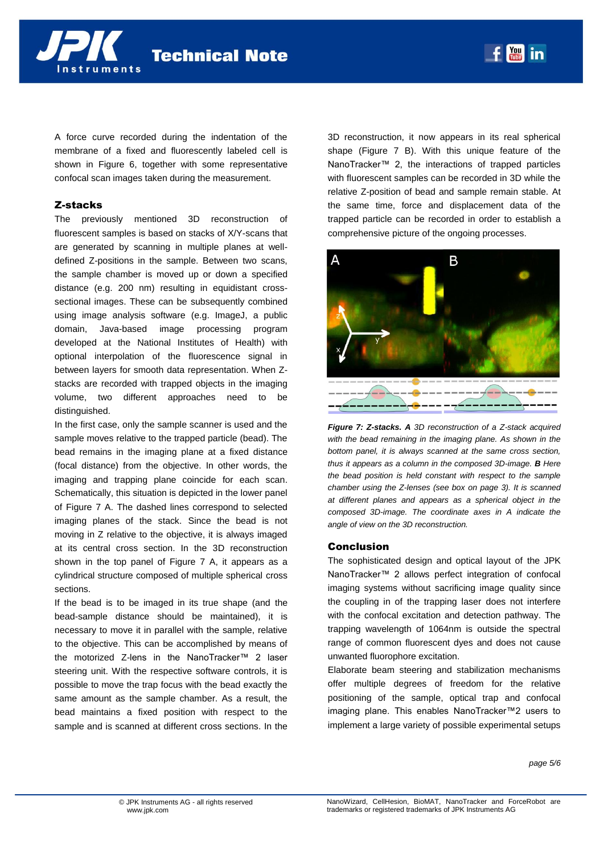**Technical Note** 

A force curve recorded during the indentation of the membrane of a fixed and fluorescently labeled cell is shown in Figure 6, together with some representative confocal scan images taken during the measurement.

## Z-stacks

nstruments

The previously mentioned 3D reconstruction of fluorescent samples is based on stacks of X/Y-scans that are generated by scanning in multiple planes at welldefined Z-positions in the sample. Between two scans, the sample chamber is moved up or down a specified distance (e.g. 200 nm) resulting in equidistant crosssectional images. These can be subsequently combined using image analysis software (e.g. ImageJ, a public domain, Java-based image processing program developed at the National Institutes of Health) with optional interpolation of the fluorescence signal in between layers for smooth data representation. When Zstacks are recorded with trapped objects in the imaging volume, two different approaches need to be distinguished.

In the first case, only the sample scanner is used and the sample moves relative to the trapped particle (bead). The bead remains in the imaging plane at a fixed distance (focal distance) from the objective. In other words, the imaging and trapping plane coincide for each scan. Schematically, this situation is depicted in the lower panel of [Figure 7](#page-4-0) A. The dashed lines correspond to selected imaging planes of the stack. Since the bead is not moving in Z relative to the objective, it is always imaged at its central cross section. In the 3D reconstruction shown in the top panel of [Figure 7](#page-4-0) A, it appears as a cylindrical structure composed of multiple spherical cross sections.

If the bead is to be imaged in its true shape (and the bead-sample distance should be maintained), it is necessary to move it in parallel with the sample, relative to the objective. This can be accomplished by means of the motorized Z-lens in the NanoTracker™ 2 laser steering unit. With the respective software controls, it is possible to move the trap focus with the bead exactly the same amount as the sample chamber. As a result, the bead maintains a fixed position with respect to the sample and is scanned at different cross sections. In the 3D reconstruction, it now appears in its real spherical shape [\(Figure 7](#page-4-0) B). With this unique feature of the NanoTracker™ 2, the interactions of trapped particles with fluorescent samples can be recorded in 3D while the relative Z-position of bead and sample remain stable. At the same time, force and displacement data of the trapped particle can be recorded in order to establish a comprehensive picture of the ongoing processes.



*Figure 7: Z-stacks. A 3D reconstruction of a Z-stack acquired with the bead remaining in the imaging plane. As shown in the bottom panel, it is always scanned at the same cross section, thus it appears as a column in the composed 3D-image. B Here the bead position is held constant with respect to the sample chamber using the Z-lenses (see box on page 3). It is scanned at different planes and appears as a spherical object in the composed 3D-image. The coordinate axes in A indicate the angle of view on the 3D reconstruction.*

#### <span id="page-4-0"></span>**Conclusion**

The sophisticated design and optical layout of the JPK NanoTracker™ 2 allows perfect integration of confocal imaging systems without sacrificing image quality since the coupling in of the trapping laser does not interfere with the confocal excitation and detection pathway. The trapping wavelength of 1064nm is outside the spectral range of common fluorescent dyes and does not cause unwanted fluorophore excitation.

Elaborate beam steering and stabilization mechanisms offer multiple degrees of freedom for the relative positioning of the sample, optical trap and confocal imaging plane. This enables NanoTracker™2 users to implement a large variety of possible experimental setups

*page 5/6*